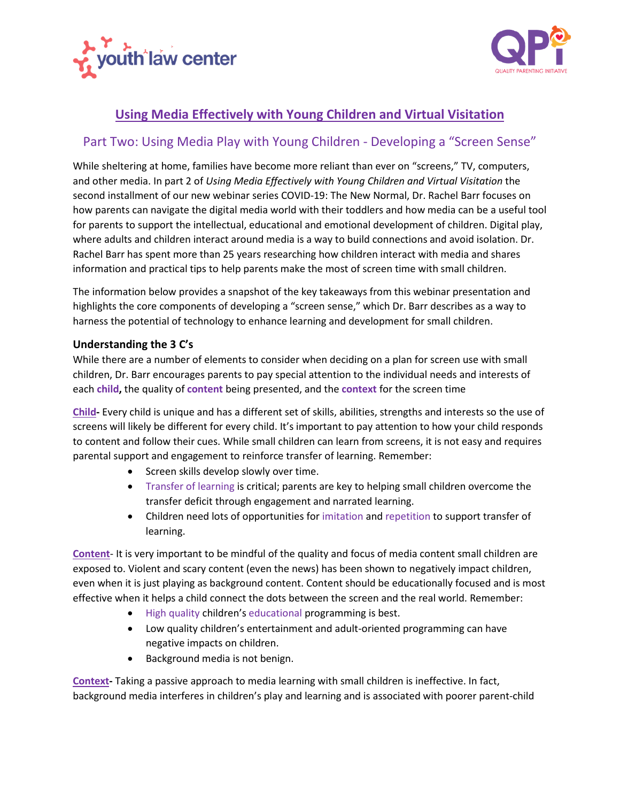



## **Using Media Effectively with Young Children and Virtual Visitation**

## Part Two: Using Media Play with Young Children - Developing a "Screen Sense"

While sheltering at home, families have become more reliant than ever on "screens," TV, computers, and other media. In part 2 of *Using Media Effectively with Young Children and Virtual Visitation* the second installment of our new webinar series COVID-19: The New Normal, Dr. Rachel Barr focuses on how parents can navigate the digital media world with their toddlers and how media can be a useful tool for parents to support the intellectual, educational and emotional development of children. Digital play, where adults and children interact around media is a way to build connections and avoid isolation. Dr. Rachel Barr has spent more than 25 years researching how children interact with media and shares information and practical tips to help parents make the most of screen time with small children.

The information below provides a snapshot of the key takeaways from this webinar presentation and highlights the core components of developing a "screen sense," which Dr. Barr describes as a way to harness the potential of technology to enhance learning and development for small children.

## **Understanding the 3 C's**

While there are a number of elements to consider when deciding on a plan for screen use with small children, Dr. Barr encourages parents to pay special attention to the individual needs and interests of each **child,** the quality of **content** being presented, and the **context** for the screen time

**Child-** Every child is unique and has a different set of skills, abilities, strengths and interests so the use of screens will likely be different for every child. It's important to pay attention to how your child responds to content and follow their cues. While small children can learn from screens, it is not easy and requires parental support and engagement to reinforce transfer of learning. Remember:

- Screen skills develop slowly over time.
- Transfer of learning is critical; parents are key to helping small children overcome the transfer deficit through engagement and narrated learning.
- Children need lots of opportunities for imitation and repetition to support transfer of learning.

**Content**- It is very important to be mindful of the quality and focus of media content small children are exposed to. Violent and scary content (even the news) has been shown to negatively impact children, even when it is just playing as background content. Content should be educationally focused and is most effective when it helps a child connect the dots between the screen and the real world. Remember:

- High quality children's educational programming is best.
- Low quality children's entertainment and adult-oriented programming can have negative impacts on children.
- Background media is not benign.

**Context-** Taking a passive approach to media learning with small children is ineffective. In fact, background media interferes in children's play and learning and is associated with poorer parent-child